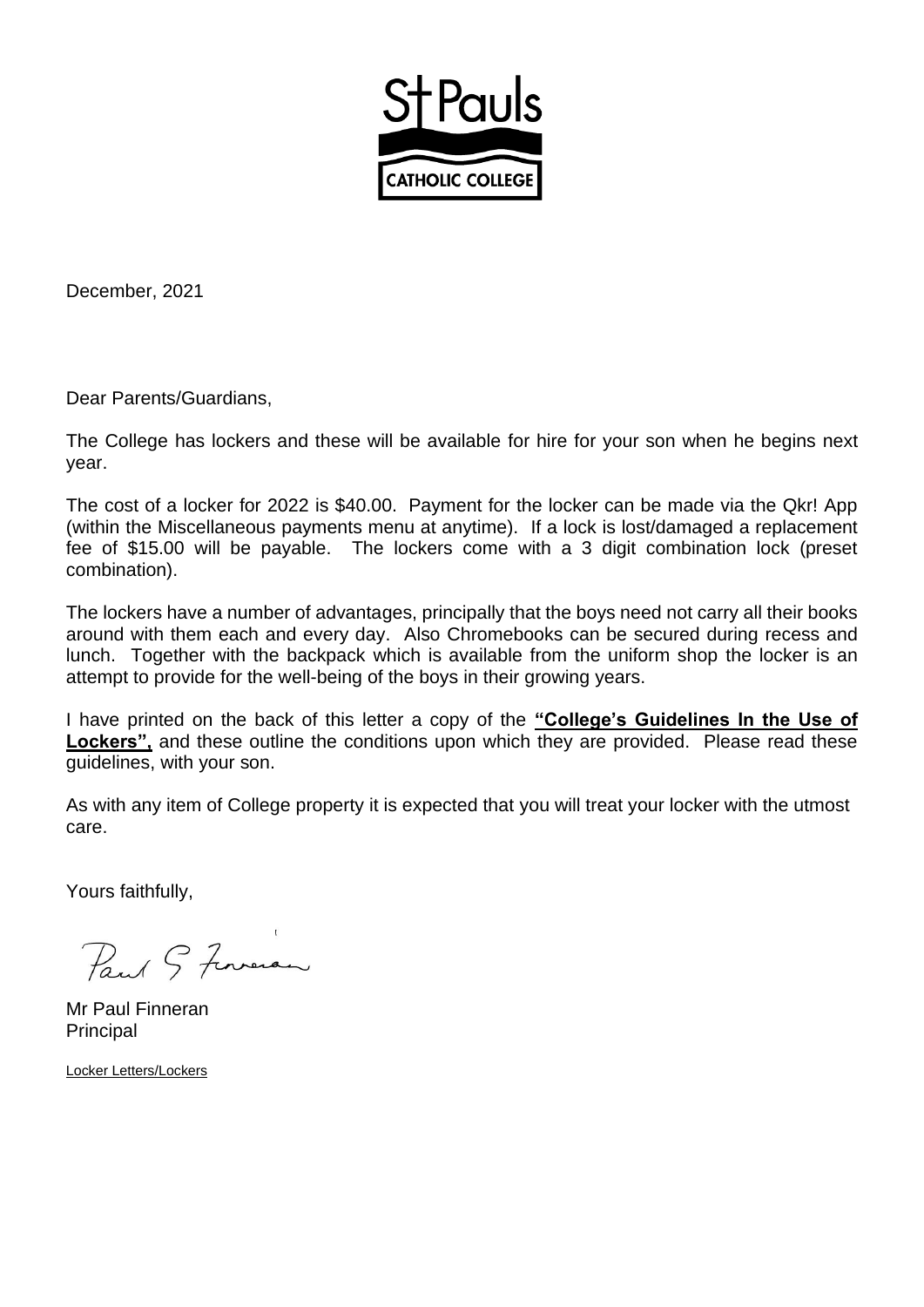

December, 2021

Dear Parents/Guardians,

The College has lockers and these will be available for hire for your son when he begins next year.

The cost of a locker for 2022 is \$40.00. Payment for the locker can be made via the Qkr! App (within the Miscellaneous payments menu at anytime). If a lock is lost/damaged a replacement fee of \$15.00 will be payable. The lockers come with a 3 digit combination lock (preset combination).

The lockers have a number of advantages, principally that the boys need not carry all their books around with them each and every day. Also Chromebooks can be secured during recess and lunch. Together with the backpack which is available from the uniform shop the locker is an attempt to provide for the well-being of the boys in their growing years.

I have printed on the back of this letter a copy of the **"College's Guidelines In the Use of**  Lockers", and these outline the conditions upon which they are provided. Please read these guidelines, with your son.

As with any item of College property it is expected that you will treat your locker with the utmost care.

Yours faithfully,

Paul & Formeran

Mr Paul Finneran **Principal** 

Locker Letters/Lockers